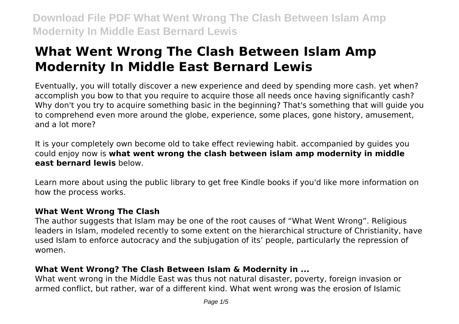# **What Went Wrong The Clash Between Islam Amp Modernity In Middle East Bernard Lewis**

Eventually, you will totally discover a new experience and deed by spending more cash. yet when? accomplish you bow to that you require to acquire those all needs once having significantly cash? Why don't you try to acquire something basic in the beginning? That's something that will guide you to comprehend even more around the globe, experience, some places, gone history, amusement, and a lot more?

It is your completely own become old to take effect reviewing habit. accompanied by guides you could enjoy now is **what went wrong the clash between islam amp modernity in middle east bernard lewis** below.

Learn more about using the public library to get free Kindle books if you'd like more information on how the process works.

# **What Went Wrong The Clash**

The author suggests that Islam may be one of the root causes of "What Went Wrong". Religious leaders in Islam, modeled recently to some extent on the hierarchical structure of Christianity, have used Islam to enforce autocracy and the subjugation of its' people, particularly the repression of women.

# **What Went Wrong? The Clash Between Islam & Modernity in ...**

What went wrong in the Middle East was thus not natural disaster, poverty, foreign invasion or armed conflict, but rather, war of a different kind. What went wrong was the erosion of Islamic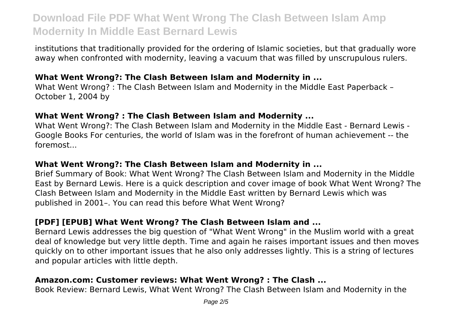institutions that traditionally provided for the ordering of Islamic societies, but that gradually wore away when confronted with modernity, leaving a vacuum that was filled by unscrupulous rulers.

#### **What Went Wrong?: The Clash Between Islam and Modernity in ...**

What Went Wrong? : The Clash Between Islam and Modernity in the Middle East Paperback – October 1, 2004 by

### **What Went Wrong? : The Clash Between Islam and Modernity ...**

What Went Wrong?: The Clash Between Islam and Modernity in the Middle East - Bernard Lewis - Google Books For centuries, the world of Islam was in the forefront of human achievement -- the foremost...

#### **What Went Wrong?: The Clash Between Islam and Modernity in ...**

Brief Summary of Book: What Went Wrong? The Clash Between Islam and Modernity in the Middle East by Bernard Lewis. Here is a quick description and cover image of book What Went Wrong? The Clash Between Islam and Modernity in the Middle East written by Bernard Lewis which was published in 2001–. You can read this before What Went Wrong?

# **[PDF] [EPUB] What Went Wrong? The Clash Between Islam and ...**

Bernard Lewis addresses the big question of "What Went Wrong" in the Muslim world with a great deal of knowledge but very little depth. Time and again he raises important issues and then moves quickly on to other important issues that he also only addresses lightly. This is a string of lectures and popular articles with little depth.

### **Amazon.com: Customer reviews: What Went Wrong? : The Clash ...**

Book Review: Bernard Lewis, What Went Wrong? The Clash Between Islam and Modernity in the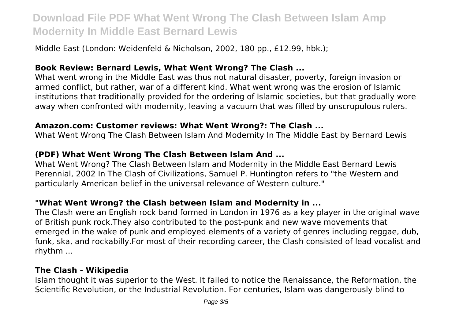Middle East (London: Weidenfeld & Nicholson, 2002, 180 pp., £12.99, hbk.);

### **Book Review: Bernard Lewis, What Went Wrong? The Clash ...**

What went wrong in the Middle East was thus not natural disaster, poverty, foreign invasion or armed conflict, but rather, war of a different kind. What went wrong was the erosion of Islamic institutions that traditionally provided for the ordering of Islamic societies, but that gradually wore away when confronted with modernity, leaving a vacuum that was filled by unscrupulous rulers.

#### **Amazon.com: Customer reviews: What Went Wrong?: The Clash ...**

What Went Wrong The Clash Between Islam And Modernity In The Middle East by Bernard Lewis

# **(PDF) What Went Wrong The Clash Between Islam And ...**

What Went Wrong? The Clash Between Islam and Modernity in the Middle East Bernard Lewis Perennial, 2002 In The Clash of Civilizations, Samuel P. Huntington refers to "the Western and particularly American belief in the universal relevance of Western culture."

# **"What Went Wrong? the Clash between Islam and Modernity in ...**

The Clash were an English rock band formed in London in 1976 as a key player in the original wave of British punk rock.They also contributed to the post-punk and new wave movements that emerged in the wake of punk and employed elements of a variety of genres including reggae, dub, funk, ska, and rockabilly.For most of their recording career, the Clash consisted of lead vocalist and rhythm ...

# **The Clash - Wikipedia**

Islam thought it was superior to the West. It failed to notice the Renaissance, the Reformation, the Scientific Revolution, or the Industrial Revolution. For centuries, Islam was dangerously blind to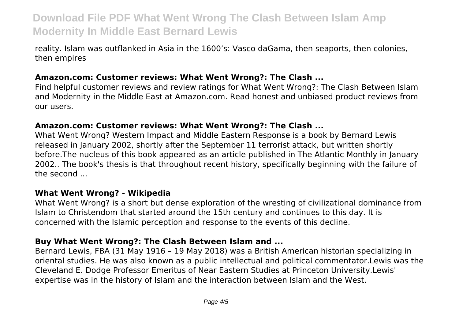reality. Islam was outflanked in Asia in the 1600's: Vasco daGama, then seaports, then colonies, then empires

#### **Amazon.com: Customer reviews: What Went Wrong?: The Clash ...**

Find helpful customer reviews and review ratings for What Went Wrong?: The Clash Between Islam and Modernity in the Middle East at Amazon.com. Read honest and unbiased product reviews from our users.

#### **Amazon.com: Customer reviews: What Went Wrong?: The Clash ...**

What Went Wrong? Western Impact and Middle Eastern Response is a book by Bernard Lewis released in January 2002, shortly after the September 11 terrorist attack, but written shortly before.The nucleus of this book appeared as an article published in The Atlantic Monthly in January 2002.. The book's thesis is that throughout recent history, specifically beginning with the failure of the second ...

#### **What Went Wrong? - Wikipedia**

What Went Wrong? is a short but dense exploration of the wresting of civilizational dominance from Islam to Christendom that started around the 15th century and continues to this day. It is concerned with the Islamic perception and response to the events of this decline.

#### **Buy What Went Wrong?: The Clash Between Islam and ...**

Bernard Lewis, FBA (31 May 1916 – 19 May 2018) was a British American historian specializing in oriental studies. He was also known as a public intellectual and political commentator.Lewis was the Cleveland E. Dodge Professor Emeritus of Near Eastern Studies at Princeton University.Lewis' expertise was in the history of Islam and the interaction between Islam and the West.